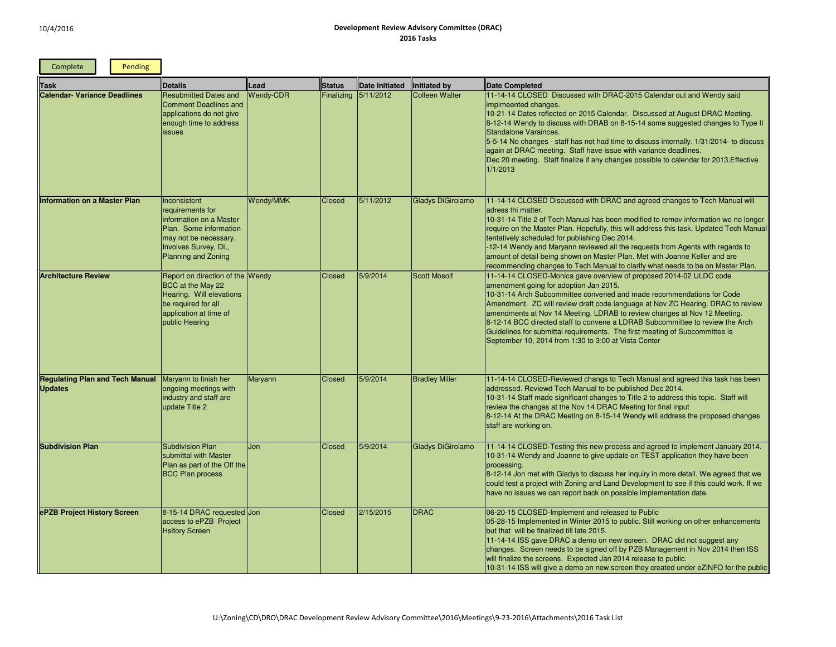| Complete<br>Pending                                      |                                                                                                                                                               |                  |                   |                       |                          |                                                                                                                                                                                                                                                                                                                                                                                                                                                                                                                                                                                          |
|----------------------------------------------------------|---------------------------------------------------------------------------------------------------------------------------------------------------------------|------------------|-------------------|-----------------------|--------------------------|------------------------------------------------------------------------------------------------------------------------------------------------------------------------------------------------------------------------------------------------------------------------------------------------------------------------------------------------------------------------------------------------------------------------------------------------------------------------------------------------------------------------------------------------------------------------------------------|
| <b>Task</b>                                              | <b>Details</b>                                                                                                                                                | Lead             | <b>Status</b>     | <b>Date Initiated</b> | Initiated by             | <b>Date Completed</b>                                                                                                                                                                                                                                                                                                                                                                                                                                                                                                                                                                    |
| <b>Calendar- Variance Deadlines</b>                      | <b>Resubmitted Dates and</b><br><b>Comment Deadlines and</b><br>applications do not give<br>enough time to address<br>issues                                  | <b>Wendy-CDR</b> | <b>Finalizing</b> | 5/11/2012             | <b>Colleen Walter</b>    | 11-14-14 CLOSED Discussed with DRAC-2015 Calendar out and Wendy said<br>implmeented changes.<br>10-21-14 Dates reflected on 2015 Calendar. Discussed at August DRAC Meeting.<br>8-12-14 Wendy to discuss with DRAB on 8-15-14 some suggested changes to Type II<br>Standalone Varainces.<br>5-5-14 No changes - staff has not had time to discuss internally. 1/31/2014- to discuss<br>again at DRAC meeting. Staff have issue with variance deadlines.<br>Dec 20 meeting. Staff finalize if any changes possible to calendar for 2013. Effective<br>1/1/2013                            |
| <b>Information on a Master Plan</b>                      | Inconsistent<br>requirements for<br>information on a Master<br>Plan. Some information<br>may not be necessary.<br>Involves Survey, DL,<br>Planning and Zoning | Wendy/MMK        | <b>Closed</b>     | 5/11/2012             | <b>Gladys DiGirolamo</b> | 11-14-14 CLOSED Discussed with DRAC and agreed changes to Tech Manual will<br>adress thi matter.<br>10-31-14 Title 2 of Tech Manual has been modified to remov information we no longer<br>require on the Master Plan. Hopefully, this will address this task. Updated Tech Manual<br>tentatively scheduled for publishing Dec 2014.<br>-12-14 Wendy and Maryann reviewed all the requests from Agents with regards to<br>amount of detail being shown on Master Plan. Met with Joanne Keller and are<br>recommending changes to Tech Manual to clarify what needs to be on Master Plan. |
| <b>Architecture Review</b>                               | Report on direction of the Wendy<br>BCC at the May 22<br>Hearing. Will elevations<br>be required for all<br>application at time of<br>public Hearing          |                  | Closed            | 5/9/2014              | <b>Scott Mosolf</b>      | 11-14-14 CLOSED-Monica gave overview of proposed 2014-02 ULDC code<br>amendment going for adoption Jan 2015.<br>10-31-14 Arch Subcommittee convened and made recommendations for Code<br>Amendment. ZC will review draft code language at Nov ZC Hearing. DRAC to review<br>amendments at Nov 14 Meeting. LDRAB to review changes at Nov 12 Meeting.<br>8-12-14 BCC directed staff to convene a LDRAB Subcommittee to review the Arch<br>Guidelines for submittal requirements. The first meeting of Subcommittee is<br>September 10, 2014 from 1:30 to 3:00 at Vista Center             |
| <b>Regulating Plan and Tech Manual</b><br><b>Updates</b> | Maryann to finish her<br>ongoing meetings with<br>industry and staff are<br>update Title 2                                                                    | Maryann          | <b>Closed</b>     | 5/9/2014              | <b>Bradley Miller</b>    | 11-14-14 CLOSED-Reviewed changs to Tech Manual and agreed this task has been<br>addressed. Reviewd Tech Manual to be published Dec 2014.<br>10-31-14 Staff made significant changes to Title 2 to address this topic. Staff will<br>review the changes at the Nov 14 DRAC Meeting for final input<br>8-12-14 At the DRAC Meeting on 8-15-14 Wendy will address the proposed changes<br>staff are working on.                                                                                                                                                                             |
| <b>Subdivision Plan</b>                                  | <b>Subdivision Plan</b><br>submittal with Master<br>Plan as part of the Off the<br><b>BCC Plan process</b>                                                    | Jon              | <b>Closed</b>     | 5/9/2014              | <b>Gladys DiGirolamo</b> | 11-14-14 CLOSED-Testing this new process and agreed to implement January 2014.<br>10-31-14 Wendy and Joanne to give update on TEST application they have been<br>processing.<br>8-12-14 Jon met with Gladys to discuss her inquiry in more detail. We agreed that we<br>could test a project with Zoning and Land Development to see if this could work. If we<br>have no issues we can report back on possible implementation date.                                                                                                                                                     |
| ePZB Project History Screen                              | 8-15-14 DRAC requested Jon<br>access to ePZB Project<br><b>Hsitory Screen</b>                                                                                 |                  | Closed            | 2/15/2015             | <b>DRAC</b>              | 06-20-15 CLOSED-Implement and released to Public<br>05-28-15 Implemented in Winter 2015 to public. Still working on other enhancements<br>but that will be finalized till late 2015.<br>11-14-14 ISS gave DRAC a demo on new screen. DRAC did not suggest any<br>changes. Screen needs to be signed off by PZB Management in Nov 2014 then ISS<br>will finalize the screens. Expected Jan 2014 release to public.<br>10-31-14 ISS will give a demo on new screen they created under eZINFO for the public                                                                                |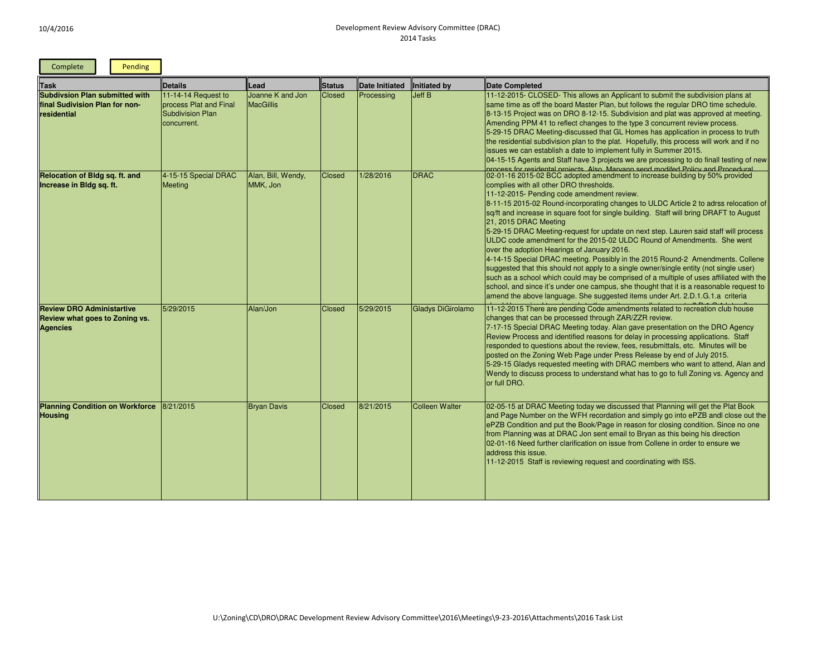| Complete<br>Pending                                                                    |                                                                                         |                                      |               |                       |                          |                                                                                                                                                                                                                                                                                                                                                                                                                                                                                                                                                                                                                                                                                                                                                                                                                                                                                                                                                                                                                                                      |
|----------------------------------------------------------------------------------------|-----------------------------------------------------------------------------------------|--------------------------------------|---------------|-----------------------|--------------------------|------------------------------------------------------------------------------------------------------------------------------------------------------------------------------------------------------------------------------------------------------------------------------------------------------------------------------------------------------------------------------------------------------------------------------------------------------------------------------------------------------------------------------------------------------------------------------------------------------------------------------------------------------------------------------------------------------------------------------------------------------------------------------------------------------------------------------------------------------------------------------------------------------------------------------------------------------------------------------------------------------------------------------------------------------|
| Task                                                                                   | <b>Details</b>                                                                          | Lead                                 | <b>Status</b> | <b>Date Initiated</b> | <b>Initiated by</b>      | <b>Date Completed</b>                                                                                                                                                                                                                                                                                                                                                                                                                                                                                                                                                                                                                                                                                                                                                                                                                                                                                                                                                                                                                                |
| <b>Subdivsion Plan submitted with</b><br>final Sudivision Plan for non-<br>residential | 11-14-14 Request to<br>process Plat and Final<br><b>Subdivision Plan</b><br>concurrent. | Joanne K and Jon<br><b>MacGillis</b> | Closed        | Processing            | <b>Jeff B</b>            | 11-12-2015- CLOSED- This allows an Applicant to submit the subdivision plans at<br>same time as off the board Master Plan, but follows the regular DRO time schedule.<br>8-13-15 Project was on DRO 8-12-15. Subdivision and plat was approved at meeting.<br>Amending PPM 41 to reflect changes to the type 3 concurrent review process.<br>5-29-15 DRAC Meeting-discussed that GL Homes has application in process to truth<br>the residential subdivision plan to the plat. Hopefully, this process will work and if no<br>issues we can establish a date to implement fully in Summer 2015.<br>04-15-15 Agents and Staff have 3 projects we are processing to do finall testing of new<br>process for residental projects. Also, Maryann send modifed Policy and Procedural                                                                                                                                                                                                                                                                      |
| Relocation of Bldg sq. ft. and<br>Increase in Bldg sq. ft.                             | 4-15-15 Special DRAC<br><b>Meeting</b>                                                  | Alan, Bill, Wendy,<br>MMK, Jon       | Closed        | 1/28/2016             | <b>DRAC</b>              | 02-01-16 2015-02 BCC adopted amendment to increase building by 50% provided<br>complies with all other DRO thresholds.<br>11-12-2015- Pending code amendment review.<br>8-11-15 2015-02 Round-incorporating changes to ULDC Article 2 to adrss relocation of<br>sq/ft and increase in square foot for single building. Staff will bring DRAFT to August<br>21, 2015 DRAC Meeting<br>5-29-15 DRAC Meeting-request for update on next step. Lauren said staff will process<br>ULDC code amendment for the 2015-02 ULDC Round of Amendments. She went<br>over the adoption Hearings of January 2016.<br>4-14-15 Special DRAC meeting. Possibly in the 2015 Round-2 Amendments. Collene<br>suggested that this should not apply to a single owner/single entity (not single user)<br>such as a school which could may be comprised of a multiple of uses affiliated with the<br>school, and since it's under one campus, she thought that it is a reasonable request to<br>amend the above language. She suggested items under Art. 2.D.1.G.1.a criteria |
| <b>Review DRO Administartive</b><br>Review what goes to Zoning vs.<br><b>Agencies</b>  | 5/29/2015                                                                               | Alan/Jon                             | <b>Closed</b> | 5/29/2015             | <b>Gladys DiGirolamo</b> | 11-12-2015 There are pending Code amendments related to recreation club house<br>changes that can be processed through ZAR/ZZR review.<br>7-17-15 Special DRAC Meeting today. Alan gave presentation on the DRO Agency<br>Review Process and identified reasons for delay in processing applications. Staff<br>responded to questions about the review, fees, resubmittals, etc. Minutes will be<br>posted on the Zoning Web Page under Press Release by end of July 2015.<br>5-29-15 Gladys requested meeting with DRAC members who want to attend, Alan and<br>Wendy to discuss process to understand what has to go to full Zoning vs. Agency and<br>or full DRO.                                                                                                                                                                                                                                                                                                                                                                                 |
| <b>Planning Condition on Workforce</b><br><b>Housing</b>                               | 8/21/2015                                                                               | <b>Bryan Davis</b>                   | Closed        | 8/21/2015             | <b>Colleen Walter</b>    | 02-05-15 at DRAC Meeting today we discussed that Planning will get the Plat Book<br>and Page Number on the WFH recordation and simply go into ePZB andl close out the<br>ePZB Condition and put the Book/Page in reason for closing condition. Since no one<br>from Planning was at DRAC Jon sent email to Bryan as this being his direction<br>02-01-16 Need further clarification on issue from Collene in order to ensure we<br>address this issue.<br>11-12-2015 Staff is reviewing request and coordinating with ISS.                                                                                                                                                                                                                                                                                                                                                                                                                                                                                                                           |